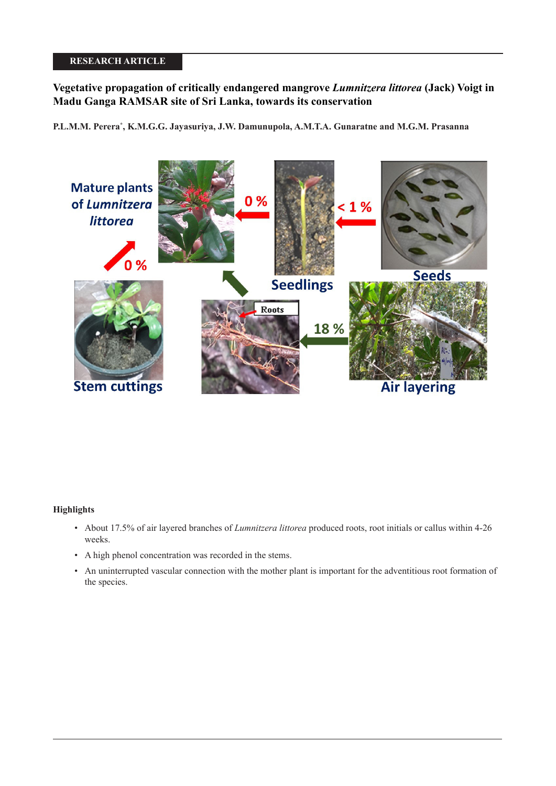# **RESEARCH ARTICLE**

# **Vegetative propagation of critically endangered mangrove** *Lumnitzera littorea* **(Jack) Voigt in Madu Ganga RAMSAR site of Sri Lanka, towards its conservation**

**P.L.M.M. Perera\* , K.M.G.G. Jayasuriya, J.W. Damunupola, A.M.T.A. Gunaratne and M.G.M. Prasanna**



## **Highlights**

- About 17.5% of air layered branches of *Lumnitzera littorea* produced roots, root initials or callus within 4-26 weeks.
- A high phenol concentration was recorded in the stems.
- An uninterrupted vascular connection with the mother plant is important for the adventitious root formation of the species.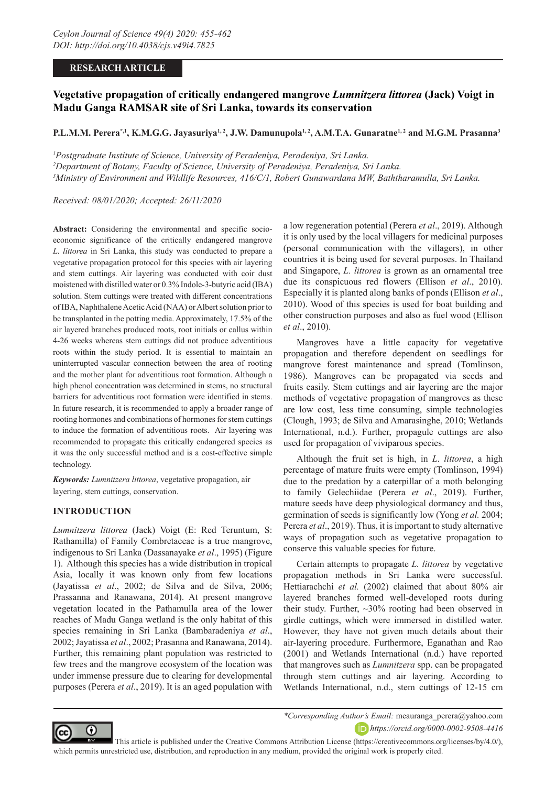### **RESEARCH ARTICLE**

# **Vegetative propagation of critically endangered mangrove** *Lumnitzera littorea* **(Jack) Voigt in Madu Ganga RAMSAR site of Sri Lanka, towards its conservation**

### **P.L.M.M. Perera\*,1, K.M.G.G. Jayasuriya1, 2, J.W. Damunupola1, 2, A.M.T.A. Gunaratne1, 2 and M.G.M. Prasanna3**

*1 Postgraduate Institute of Science, University of Peradeniya, Peradeniya, Sri Lanka. 2 Department of Botany, Faculty of Science, University of Peradeniya, Peradeniya, Sri Lanka. 3 Ministry of Environment and Wildlife Resources, 416/C/1, Robert Gunawardana MW, Baththaramulla, Sri Lanka.*

*Received: 08/01/2020; Accepted: 26/11/2020*

**Abstract:** Considering the environmental and specific socioeconomic significance of the critically endangered mangrove *L*. *littorea* in Sri Lanka, this study was conducted to prepare a vegetative propagation protocol for this species with air layering and stem cuttings. Air layering was conducted with coir dust moistened with distilled water or 0.3% Indole-3-butyric acid (IBA) solution. Stem cuttings were treated with different concentrations of IBA, Naphthalene Acetic Acid (NAA) or Albert solution prior to be transplanted in the potting media. Approximately, 17.5% of the air layered branches produced roots, root initials or callus within 4-26 weeks whereas stem cuttings did not produce adventitious roots within the study period. It is essential to maintain an uninterrupted vascular connection between the area of rooting and the mother plant for adventitious root formation. Although a high phenol concentration was determined in stems, no structural barriers for adventitious root formation were identified in stems. In future research, it is recommended to apply a broader range of rooting hormones and combinations of hormones for stem cuttings to induce the formation of adventitious roots. Air layering was recommended to propagate this critically endangered species as it was the only successful method and is a cost-effective simple technology.

*Keywords: Lumnitzera littorea*, vegetative propagation, air layering, stem cuttings, conservation.

### **INTRODUCTION**

*Lumnitzera littorea* (Jack) Voigt (E: Red Teruntum, S: Rathamilla) of Family Combretaceae is a true mangrove, indigenous to Sri Lanka (Dassanayake *et al*., 1995) (Figure 1). Although this species has a wide distribution in tropical Asia, locally it was known only from few locations (Jayatissa *et al*., 2002; de Silva and de Silva, 2006; Prassanna and Ranawana, 2014). At present mangrove vegetation located in the Pathamulla area of the lower reaches of Madu Ganga wetland is the only habitat of this species remaining in Sri Lanka (Bambaradeniya *et al*., 2002; Jayatissa *et al*., 2002; Prasanna and Ranawana, 2014). Further, this remaining plant population was restricted to few trees and the mangrove ecosystem of the location was under immense pressure due to clearing for developmental purposes (Perera *et al*., 2019). It is an aged population with

a low regeneration potential (Perera *et al*., 2019). Although it is only used by the local villagers for medicinal purposes (personal communication with the villagers), in other countries it is being used for several purposes. In Thailand and Singapore, *L. littorea* is grown as an ornamental tree due its conspicuous red flowers (Ellison *et al*., 2010). Especially it is planted along banks of ponds (Ellison *et al*., 2010). Wood of this species is used for boat building and other construction purposes and also as fuel wood (Ellison *et al*., 2010).

Mangroves have a little capacity for vegetative propagation and therefore dependent on seedlings for mangrove forest maintenance and spread (Tomlinson, 1986). Mangroves can be propagated via seeds and fruits easily. Stem cuttings and air layering are the major methods of vegetative propagation of mangroves as these are low cost, less time consuming, simple technologies (Clough, 1993; de Silva and Amarasinghe, 2010; Wetlands International, n.d.). Further, propagule cuttings are also used for propagation of viviparous species.

Although the fruit set is high, in *L*. *littorea*, a high percentage of mature fruits were empty (Tomlinson, 1994) due to the predation by a caterpillar of a moth belonging to family Gelechiidae (Perera *et al*., 2019). Further, mature seeds have deep physiological dormancy and thus, germination of seeds is significantly low (Yong *et al.* 2004; Perera *et al*., 2019). Thus, it is important to study alternative ways of propagation such as vegetative propagation to conserve this valuable species for future.

Certain attempts to propagate *L. littorea* by vegetative propagation methods in Sri Lanka were successful. Hettiarachchi *et al.* (2002) claimed that about 80% air layered branches formed well-developed roots during their study. Further, ~30% rooting had been observed in girdle cuttings, which were immersed in distilled water. However, they have not given much details about their air-layering procedure. Furthermore, Eganathan and Rao (2001) and Wetlands International (n.d.) have reported that mangroves such as *Lumnitzera* spp. can be propagated through stem cuttings and air layering. According to Wetlands International, n.d., stem cuttings of 12-15 cm



*\*Corresponding Author's Email:* meauranga\_perera@yahoo.com *https://orcid.org/0000-0002-9508-4416*

 This article is published under the Creative Commons Attribution License (https://creativecommons.org/licenses/by/4.0/), which permits unrestricted use, distribution, and reproduction in any medium, provided the original work is properly cited.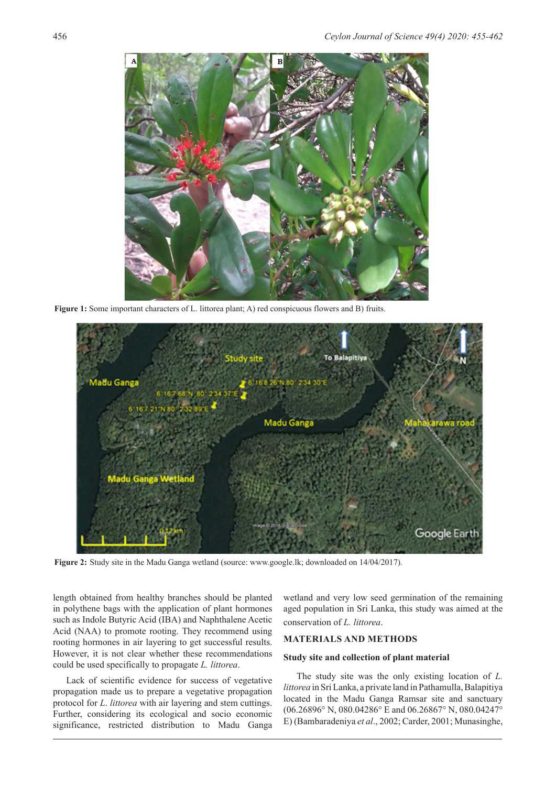

**Figure 1:** Some important characters of L. littorea plant; A) red conspicuous flowers and B) fruits.



**Figure 2:** Study site in the Madu Ganga wetland (source: www.google.lk; downloaded on 14/04/2017).

length obtained from healthy branches should be planted in polythene bags with the application of plant hormones such as Indole Butyric Acid (IBA) and Naphthalene Acetic Acid (NAA) to promote rooting. They recommend using rooting hormones in air layering to get successful results. However, it is not clear whether these recommendations could be used specifically to propagate *L. littorea*.

Lack of scientific evidence for success of vegetative propagation made us to prepare a vegetative propagation protocol for *L*. *littorea* with air layering and stem cuttings. Further, considering its ecological and socio economic significance, restricted distribution to Madu Ganga

wetland and very low seed germination of the remaining aged population in Sri Lanka, this study was aimed at the conservation of *L. littorea*.

### **MATERIALS AND METHODS**

### **Study site and collection of plant material**

The study site was the only existing location of *L. littorea* in Sri Lanka, a private land in Pathamulla, Balapitiya located in the Madu Ganga Ramsar site and sanctuary (06.26896° N, 080.04286° E and 06.26867° N, 080.04247° E) (Bambaradeniya *et al*., 2002; Carder, 2001; Munasinghe,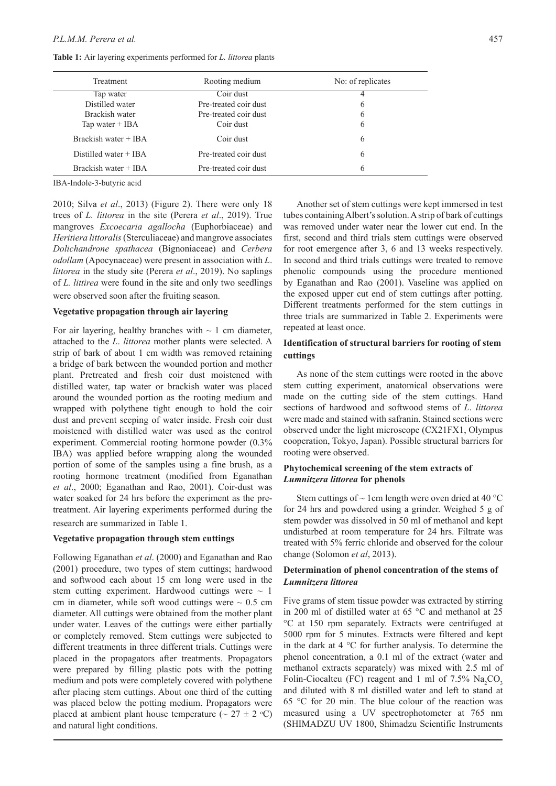**Table 1:** Air layering experiments performed for *L. littorea* plants

| Treatment               | Rooting medium        | No: of replicates |  |
|-------------------------|-----------------------|-------------------|--|
| Tap water               | Coir dust             | 4                 |  |
| Distilled water         | Pre-treated coir dust | 6                 |  |
| Brackish water          | Pre-treated coir dust | 6                 |  |
| Tap water $+$ IBA       | Coir dust             | 6                 |  |
| Brackish water + IBA    | Coir dust             | 6                 |  |
| Distilled water $+$ IBA | Pre-treated coir dust | 6                 |  |
| Brackish water + IBA    | Pre-treated coir dust | 6                 |  |

IBA-Indole-3-butyric acid

2010; Silva *et al*., 2013) (Figure 2). There were only 18 trees of *L. littorea* in the site (Perera *et al*., 2019). True mangroves *Excoecaria agallocha* (Euphorbiaceae) and *Heritiera littoralis* (Sterculiaceae) and mangrove associates *Dolichandrone spathacea* (Bignoniaceae) and *Cerbera odollam* (Apocynaceae) were present in association with *L*. *littorea* in the study site (Perera *et al*., 2019). No saplings of *L. littirea* were found in the site and only two seedlings were observed soon after the fruiting season.

#### **Vegetative propagation through air layering**

For air layering, healthy branches with  $\sim 1$  cm diameter, attached to the *L*. *littorea* mother plants were selected. A strip of bark of about 1 cm width was removed retaining a bridge of bark between the wounded portion and mother plant. Pretreated and fresh coir dust moistened with distilled water, tap water or brackish water was placed around the wounded portion as the rooting medium and wrapped with polythene tight enough to hold the coir dust and prevent seeping of water inside. Fresh coir dust moistened with distilled water was used as the control experiment. Commercial rooting hormone powder (0.3% IBA) was applied before wrapping along the wounded portion of some of the samples using a fine brush, as a rooting hormone treatment (modified from Eganathan *et al*., 2000; Eganathan and Rao, 2001). Coir-dust was water soaked for 24 hrs before the experiment as the pretreatment. Air layering experiments performed during the research are summarized in Table 1.

### **Vegetative propagation through stem cuttings**

Following Eganathan *et al*. (2000) and Eganathan and Rao (2001) procedure, two types of stem cuttings; hardwood and softwood each about 15 cm long were used in the stem cutting experiment. Hardwood cuttings were  $\sim 1$ cm in diameter, while soft wood cuttings were  $\sim 0.5$  cm diameter. All cuttings were obtained from the mother plant under water. Leaves of the cuttings were either partially or completely removed. Stem cuttings were subjected to different treatments in three different trials. Cuttings were placed in the propagators after treatments. Propagators were prepared by filling plastic pots with the potting medium and pots were completely covered with polythene after placing stem cuttings. About one third of the cutting was placed below the potting medium. Propagators were placed at ambient plant house temperature ( $\sim 27 \pm 2$  °C) and natural light conditions.

Another set of stem cuttings were kept immersed in test tubes containing Albert's solution. A strip of bark of cuttings was removed under water near the lower cut end. In the first, second and third trials stem cuttings were observed for root emergence after 3, 6 and 13 weeks respectively. In second and third trials cuttings were treated to remove phenolic compounds using the procedure mentioned by Eganathan and Rao (2001). Vaseline was applied on the exposed upper cut end of stem cuttings after potting. Different treatments performed for the stem cuttings in three trials are summarized in Table 2. Experiments were repeated at least once.

# **Identification of structural barriers for rooting of stem cuttings**

As none of the stem cuttings were rooted in the above stem cutting experiment, anatomical observations were made on the cutting side of the stem cuttings. Hand sections of hardwood and softwood stems of *L*. *littorea* were made and stained with safranin. Stained sections were observed under the light microscope (CX21FX1, Olympus cooperation, Tokyo, Japan). Possible structural barriers for rooting were observed.

### **Phytochemical screening of the stem extracts of**  *Lumnitzera littorea* **for phenols**

Stem cuttings of  $\sim$  1 cm length were oven dried at 40 °C for 24 hrs and powdered using a grinder. Weighed 5 g of stem powder was dissolved in 50 ml of methanol and kept undisturbed at room temperature for 24 hrs. Filtrate was treated with 5% ferric chloride and observed for the colour change (Solomon *et al*, 2013).

# **Determination of phenol concentration of the stems of**  *Lumnitzera littorea*

Five grams of stem tissue powder was extracted by stirring in 200 ml of distilled water at 65 °C and methanol at 25 °C at 150 rpm separately. Extracts were centrifuged at 5000 rpm for 5 minutes. Extracts were filtered and kept in the dark at 4 °C for further analysis. To determine the phenol concentration, a 0.1 ml of the extract (water and methanol extracts separately) was mixed with 2.5 ml of Folin-Ciocalteu (FC) reagent and 1 ml of 7.5%  $\text{Na}_2\text{CO}_3$ and diluted with 8 ml distilled water and left to stand at 65 °C for 20 min. The blue colour of the reaction was measured using a UV spectrophotometer at 765 nm (SHIMADZU UV 1800, Shimadzu Scientific Instruments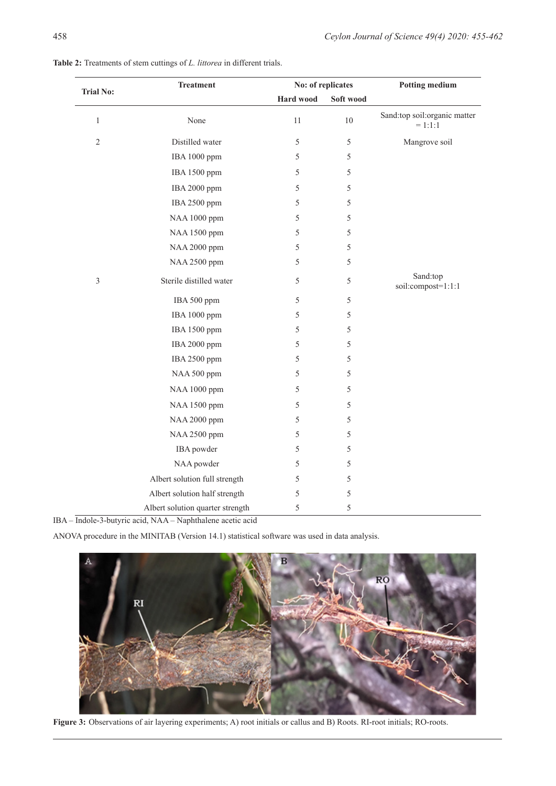| Table 2: Treatments of stem cuttings of L. littorea in different trials. |
|--------------------------------------------------------------------------|
|--------------------------------------------------------------------------|

| <b>Trial No:</b> | <b>Treatment</b>                 | No: of replicates |               | <b>Potting medium</b>                     |
|------------------|----------------------------------|-------------------|---------------|-------------------------------------------|
|                  |                                  | Hard wood         | Soft wood     |                                           |
| $\mathbf{1}$     | None                             | 11                | $10\,$        | Sand:top soil:organic matter<br>$= 1:1:1$ |
| $\overline{2}$   | Distilled water                  | 5                 | $\mathfrak s$ | Mangrove soil                             |
|                  | IBA 1000 ppm                     | 5                 | 5             |                                           |
|                  | IBA 1500 ppm                     | 5                 | 5             |                                           |
|                  | IBA 2000 ppm                     | 5                 | 5             |                                           |
|                  | IBA 2500 ppm                     | 5                 | 5             |                                           |
|                  | NAA 1000 ppm                     | 5                 | 5             |                                           |
|                  | NAA 1500 ppm                     | 5                 | 5             |                                           |
|                  | NAA 2000 ppm                     | 5                 | 5             |                                           |
|                  | NAA 2500 ppm                     | 5                 | 5             |                                           |
| $\mathfrak{Z}$   | Sterile distilled water          | 5                 | 5             | Sand:top<br>soil:compost=1:1:1            |
|                  | IBA 500 ppm                      | 5                 | 5             |                                           |
|                  | IBA 1000 ppm                     | 5                 | 5             |                                           |
|                  | IBA 1500 ppm                     | 5                 | 5             |                                           |
|                  | IBA 2000 ppm                     | 5                 | 5             |                                           |
|                  | IBA 2500 ppm                     | 5                 | 5             |                                           |
|                  | NAA 500 ppm                      | 5                 | 5             |                                           |
|                  | NAA 1000 ppm                     | 5                 | 5             |                                           |
|                  | NAA 1500 ppm                     | 5                 | 5             |                                           |
|                  | NAA 2000 ppm                     | 5                 | 5             |                                           |
|                  | NAA 2500 ppm                     | 5                 | 5             |                                           |
|                  | IBA powder                       | 5                 | 5             |                                           |
|                  | NAA powder                       | 5                 | 5             |                                           |
|                  | Albert solution full strength    | 5                 | 5             |                                           |
|                  | Albert solution half strength    | 5                 | 5             |                                           |
|                  | Albert solution quarter strength | $\sqrt{5}$        | 5             |                                           |

ANOVA procedure in the MINITAB (Version 14.1) statistical software was used in data analysis.



**Figure 3:** Observations of air layering experiments; A) root initials or callus and B) Roots. RI-root initials; RO-roots.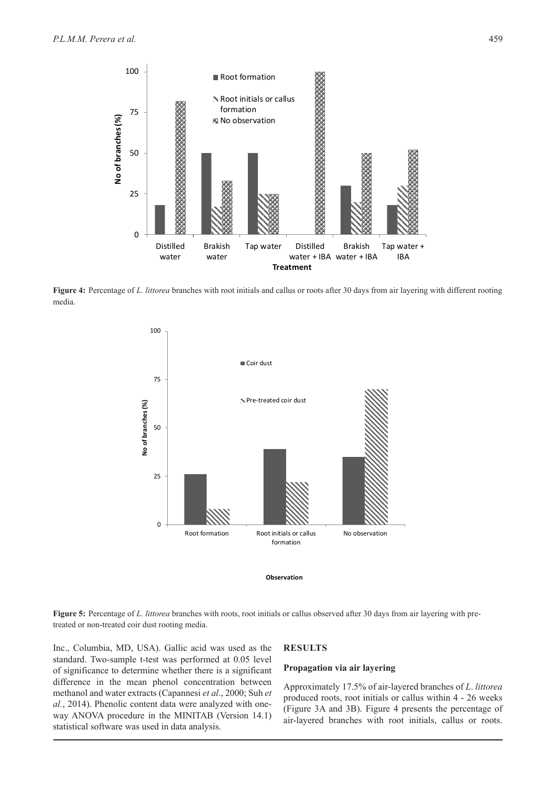

**Figure 4:** Percentage of *L. littorea* branches with root initials and callus or roots after 30 days from air layering with different rooting media.





**Figure 5:** Percentage of *L. littorea* branches with roots, root initials or callus observed after 30 days from air layering with pretreated or non-treated coir dust rooting media.

Inc., Columbia, MD, USA). Gallic acid was used as the standard. Two-sample t-test was performed at 0.05 level of significance to determine whether there is a significant difference in the mean phenol concentration between methanol and water extracts (Capannesi *et al*., 2000; Suh *et al.*, 2014). Phenolic content data were analyzed with oneway ANOVA procedure in the MINITAB (Version 14.1) statistical software was used in data analysis.

### **RESULTS**

### **Propagation via air layering**

Approximately 17.5% of air-layered branches of *L*. *littorea*  produced roots, root initials or callus within 4 - 26 weeks (Figure 3A and 3B). Figure 4 presents the percentage of air-layered branches with root initials, callus or roots.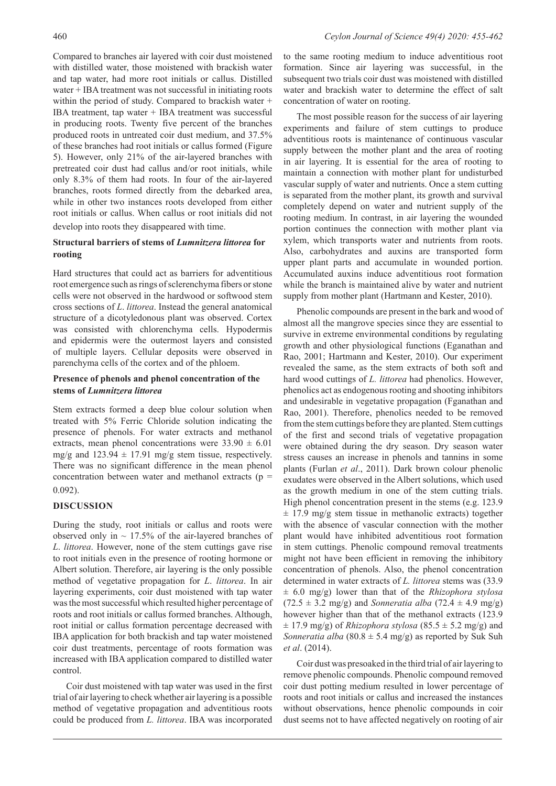Compared to branches air layered with coir dust moistened with distilled water, those moistened with brackish water and tap water, had more root initials or callus. Distilled water + IBA treatment was not successful in initiating roots within the period of study. Compared to brackish water + IBA treatment, tap water + IBA treatment was successful in producing roots. Twenty five percent of the branches produced roots in untreated coir dust medium, and 37.5% of these branches had root initials or callus formed (Figure 5). However, only 21% of the air-layered branches with pretreated coir dust had callus and/or root initials, while only 8.3% of them had roots. In four of the air-layered branches, roots formed directly from the debarked area, while in other two instances roots developed from either root initials or callus. When callus or root initials did not develop into roots they disappeared with time.

### **Structural barriers of stems of** *Lumnitzera littorea* **for rooting**

Hard structures that could act as barriers for adventitious root emergence such as rings of sclerenchyma fibers or stone cells were not observed in the hardwood or softwood stem cross sections of *L*. *littorea*. Instead the general anatomical structure of a dicotyledonous plant was observed. Cortex was consisted with chlorenchyma cells. Hypodermis and epidermis were the outermost layers and consisted of multiple layers. Cellular deposits were observed in parenchyma cells of the cortex and of the phloem.

### **Presence of phenols and phenol concentration of the stems of** *Lumnitzera littorea*

Stem extracts formed a deep blue colour solution when treated with 5% Ferric Chloride solution indicating the presence of phenols. For water extracts and methanol extracts, mean phenol concentrations were  $33.90 \pm 6.01$ mg/g and  $123.94 \pm 17.91$  mg/g stem tissue, respectively. There was no significant difference in the mean phenol concentration between water and methanol extracts ( $p =$ 0.092).

### **DISCUSSION**

During the study, root initials or callus and roots were observed only in  $\sim 17.5\%$  of the air-layered branches of *L*. *littorea*. However, none of the stem cuttings gave rise to root initials even in the presence of rooting hormone or Albert solution. Therefore, air layering is the only possible method of vegetative propagation for *L*. *littorea*. In air layering experiments, coir dust moistened with tap water was the most successful which resulted higher percentage of roots and root initials or callus formed branches. Although, root initial or callus formation percentage decreased with IBA application for both brackish and tap water moistened coir dust treatments, percentage of roots formation was increased with IBA application compared to distilled water control.

Coir dust moistened with tap water was used in the first trial of air layering to check whether air layering is a possible method of vegetative propagation and adventitious roots could be produced from *L. littorea*. IBA was incorporated

to the same rooting medium to induce adventitious root formation. Since air layering was successful, in the subsequent two trials coir dust was moistened with distilled water and brackish water to determine the effect of salt concentration of water on rooting.

The most possible reason for the success of air layering experiments and failure of stem cuttings to produce adventitious roots is maintenance of continuous vascular supply between the mother plant and the area of rooting in air layering. It is essential for the area of rooting to maintain a connection with mother plant for undisturbed vascular supply of water and nutrients. Once a stem cutting is separated from the mother plant, its growth and survival completely depend on water and nutrient supply of the rooting medium. In contrast, in air layering the wounded portion continues the connection with mother plant via xylem, which transports water and nutrients from roots. Also, carbohydrates and auxins are transported form upper plant parts and accumulate in wounded portion. Accumulated auxins induce adventitious root formation while the branch is maintained alive by water and nutrient supply from mother plant (Hartmann and Kester, 2010).

Phenolic compounds are present in the bark and wood of almost all the mangrove species since they are essential to survive in extreme environmental conditions by regulating growth and other physiological functions (Eganathan and Rao, 2001; Hartmann and Kester, 2010). Our experiment revealed the same, as the stem extracts of both soft and hard wood cuttings of *L. littorea* had phenolics. However, phenolics act as endogenous rooting and shooting inhibitors and undesirable in vegetative propagation (Fganathan and Rao, 2001). Therefore, phenolics needed to be removed from the stem cuttings before they are planted. Stem cuttings of the first and second trials of vegetative propagation were obtained during the dry season. Dry season water stress causes an increase in phenols and tannins in some plants (Furlan *et al*., 2011). Dark brown colour phenolic exudates were observed in the Albert solutions, which used as the growth medium in one of the stem cutting trials. High phenol concentration present in the stems (e.g. 123.9  $\pm$  17.9 mg/g stem tissue in methanolic extracts) together with the absence of vascular connection with the mother plant would have inhibited adventitious root formation in stem cuttings. Phenolic compound removal treatments might not have been efficient in removing the inhibitory concentration of phenols. Also, the phenol concentration determined in water extracts of *L. littorea* stems was (33.9 ± 6.0 mg/g) lower than that of the *Rhizophora stylosa*   $(72.5 \pm 3.2 \text{ mg/g})$  and *Sonneratia alba*  $(72.4 \pm 4.9 \text{ mg/g})$ however higher than that of the methanol extracts (123.9  $\pm$  17.9 mg/g) of *Rhizophora stylosa* (85.5  $\pm$  5.2 mg/g) and *Sonneratia alba* (80.8  $\pm$  5.4 mg/g) as reported by Suk Suh *et al*. (2014).

Coir dust was presoaked in the third trial of air layering to remove phenolic compounds. Phenolic compound removed coir dust potting medium resulted in lower percentage of roots and root initials or callus and increased the instances without observations, hence phenolic compounds in coir dust seems not to have affected negatively on rooting of air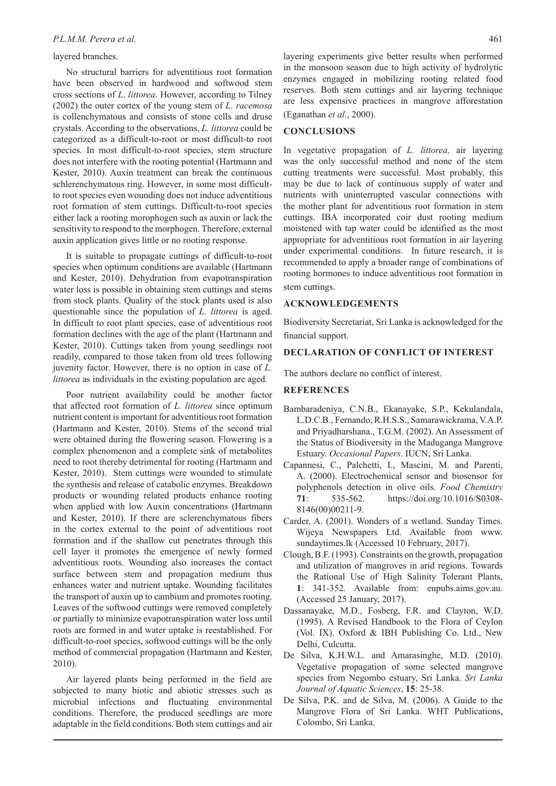#### *P.L.M.M. Perera et al.* 461

### layered branches.

No structural barriers for adventitious root formation have been observed in hardwood and softwood stem cross sections of *L*. *littorea*. However, according to Tilney (2002) the outer cortex of the young stem of *L*. *racemosa* is collenchymatous and consists of stone cells and druse crystals. According to the observations, *L. littorea* could be categorized as a difficult-to-root or most difficult-to root species. In most difficult-to-root species, stem structure does not interfere with the rooting potential (Hartmann and Kester, 2010). Auxin treatment can break the continuous schlerenchymatous ring. However, in some most difficultto root species even wounding does not induce adventitious root formation of stem cuttings. Difficult-to-root species either lack a rooting morophogen such as auxin or lack the sensitivity to respond to the morphogen. Therefore, external auxin application gives little or no rooting response.

It is suitable to propagate cuttings of difficult-to-root species when optimum conditions are available (Hartmann and Kester, 2010). Dehydration from evapotranspiration water loss is possible in obtaining stem cuttings and stems from stock plants. Quality of the stock plants used is also questionable since the population of *L. littorea* is aged. In difficult to root plant species, ease of adventitious root formation declines with the age of the plant (Hartmann and Kester, 2010). Cuttings taken from young seedlings root readily, compared to those taken from old trees following juvenity factor. However, there is no option in case of *L. littorea* as individuals in the existing population are aged.

Poor nutrient availability could be another factor that affected root formation of *L. littorea* since optimum nutrient content is important for adventitious root formation (Hartmann and Kester, 2010). Stems of the second trial were obtained during the flowering season. Flowering is a complex phenomenon and a complete sink of metabolites need to root thereby detrimental for rooting (Hartmann and Kester, 2010). Stem cuttings were wounded to stimulate the synthesis and release of catabolic enzymes. Breakdown products or wounding related products enhance rooting when applied with low Auxin concentrations (Hartmann and Kester, 2010). If there are sclerenchymatous fibers in the cortex external to the point of adventitious root formation and if the shallow cut penetrates through this cell layer it promotes the emergence of newly formed adventitious roots. Wounding also increases the contact surface between stem and propagation medium thus enhances water and nutrient uptake. Wounding facilitates the transport of auxin up to cambium and promotes rooting. Leaves of the softwood cuttings were removed completely or partially to minimize evapotranspiration water loss until roots are formed in and water uptake is reestablished. For difficult-to-root species, softwood cuttings will be the only method of commercial propagation (Hartmann and Kester, 2010).

Air layered plants being performed in the field are subjected to many biotic and abiotic stresses such as microbial infections and fluctuating environmental conditions. Therefore, the produced seedlings are more adaptable in the field conditions. Both stem cuttings and air

#### **CONCLUSIONS**

In vegetative propagation of *L. littorea,* air layering was the only successful method and none of the stem cutting treatments were successful. Most probably, this may be due to lack of continuous supply of water and nutrients with uninterrupted vascular connections with the mother plant for adventitious root formation in stem cuttings. IBA incorporated coir dust rooting medium moistened with tap water could be identified as the most appropriate for adventitious root formation in air layering under experimental conditions. In future research, it is recommended to apply a broader range of combinations of rooting hormones to induce adventitious root formation in stem cuttings.

#### **ACKNOWLEDGEMENTS**

Biodiversity Secretariat, Sri Lanka is acknowledged for the financial support.

### **DECLARATION OF CONFLICT OF INTEREST**

The authors declare no conflict of interest.

### **REFERENCES**

- Bambaradeniya, C.N.B., Ekanayake, S.P., Kekulandala, L.D.C.B., Fernando, R.H.S.S., Samarawickrama, V.A.P. and Priyadharshana., T.G.M. (2002). An Assessment of the Status of Biodiversity in the Maduganga Mangrove Estuary. *Occasional Papers*. IUCN, Sri Lanka.
- Capannesi, C., Palchetti, I., Mascini, M. and Parenti, A. (2000). Electrochemical sensor and biosensor for polyphenols detection in olive oils. *Food Chemistry*  **71**: 535-562. https://doi.org/10.1016/S0308- 8146(00)00211-9.
- Carder, A. (2001). Wonders of a wetland. Sunday Times. Wijeya Newspapers Ltd. Available from www. sundaytimes.lk (Accessed 10 February, 2017).
- Clough, B.F. (1993). Constraints on the growth, propagation and utilization of mangroves in arid regions. Towards the Rational Use of High Salinity Tolerant Plants, **1**: 341-352. Available from: eupubs.aims.gov.au. (Accessed 25 January, 2017).
- Dassanayake, M.D., Fosberg, F.R. and Clayton, W.D. (1995). A Revised Handbook to the Flora of Ceylon (Vol. IX). Oxford & IBH Publishing Co. Ltd., New Delhi, Culcutta.
- De Silva, K.H.W.L. and Amarasinghe, M.D. (2010). Vegetative propagation of some selected mangrove species from Negombo estuary, Sri Lanka. *Sri Lanka Journal of Aquatic Sciences*, **15**: 25-38.
- De Silva, P.K. and de Silva, M. (2006). A Guide to the Mangrove Flora of Sri Lanka. WHT Publications, Colombo, Sri Lanka.